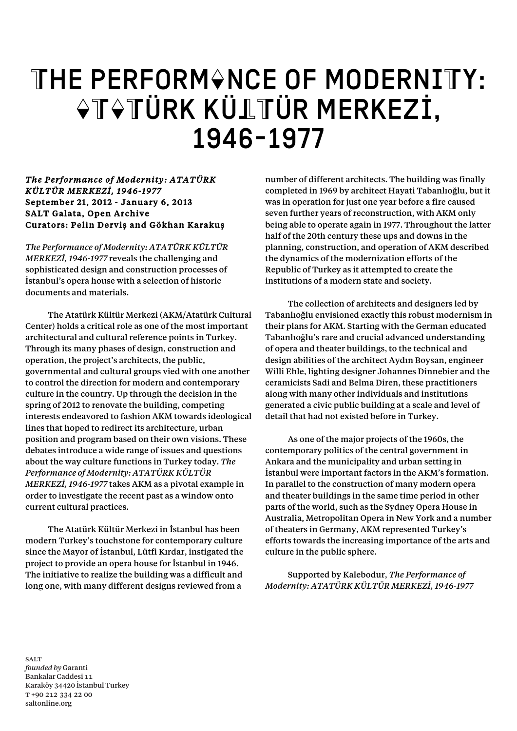## THE PERFORM&NCE OF MODERNITY:  $\Diamond$ T $\Diamond$ TÜRK KÜLTÜR MERKEZİ, 1946-1977

## *The Performance of Modernity: ATATÜRK KÜLTÜR MERKEZİ, 1946-1977*  September 21, 2012 - January 6, 2013 SALT Galata, Open Archive Curators: Pelin Derviş and Gökhan Karakuş

*The Performance of Modernity: ATATÜRK KÜLTÜR MERKEZİ, 1946-1977* reveals the challenging and sophisticated design and construction processes of İstanbul's opera house with a selection of historic documents and materials.

The Atatürk Kültür Merkezi (AKM/Atatürk Cultural Center) holds a critical role as one of the most important architectural and cultural reference points in Turkey. Through its many phases of design, construction and operation, the project's architects, the public, governmental and cultural groups vied with one another to control the direction for modern and contemporary culture in the country. Up through the decision in the spring of 2012 to renovate the building, competing interests endeavored to fashion AKM towards ideological lines that hoped to redirect its architecture, urban position and program based on their own visions. These debates introduce a wide range of issues and questions about the way culture functions in Turkey today. *The Performance of Modernity: ATATÜRK KÜLTÜR MERKEZİ, 1946-1977* takes AKM as a pivotal example in order to investigate the recent past as a window onto current cultural practices.

The Atatürk Kültür Merkezi in İstanbul has been modern Turkey's touchstone for contemporary culture since the Mayor of İstanbul, Lütfi Kırdar, instigated the project to provide an opera house for İstanbul in 1946. The initiative to realize the building was a difficult and long one, with many different designs reviewed from a

number of different architects. The building was finally completed in 1969 by architect Hayati Tabanlıoğlu, but it was in operation for just one year before a fire caused seven further years of reconstruction, with AKM only being able to operate again in 1977. Throughout the latter half of the 20th century these ups and downs in the planning, construction, and operation of AKM described the dynamics of the modernization efforts of the Republic of Turkey as it attempted to create the institutions of a modern state and society.

The collection of architects and designers led by Tabanlıoğlu envisioned exactly this robust modernism in their plans for AKM. Starting with the German educated Tabanlıoğlu's rare and crucial advanced understanding of opera and theater buildings, to the technical and design abilities of the architect Aydın Boysan, engineer Willi Ehle, lighting designer Johannes Dinnebier and the ceramicists Sadi and Belma Diren, these practitioners along with many other individuals and institutions generated a civic public building at a scale and level of detail that had not existed before in Turkey.

As one of the major projects of the 1960s, the contemporary politics of the central government in Ankara and the municipality and urban setting in İstanbul were important factors in the AKM's formation. In parallel to the construction of many modern opera and theater buildings in the same time period in other parts of the world, such as the Sydney Opera House in Australia, Metropolitan Opera in New York and a number of theaters in Germany, AKM represented Turkey's efforts towards the increasing importance of the arts and culture in the public sphere.

Supported by Kalebodur, *The Performance of Modernity: ATATÜRK KÜLTÜR MERKEZİ, 1946-1977*

**SALT** *founded by* Garanti Bankalar Caddesi 11 Karaköy 34420 İstanbul Turkey T +90 212 334 22 00 saltonline.org